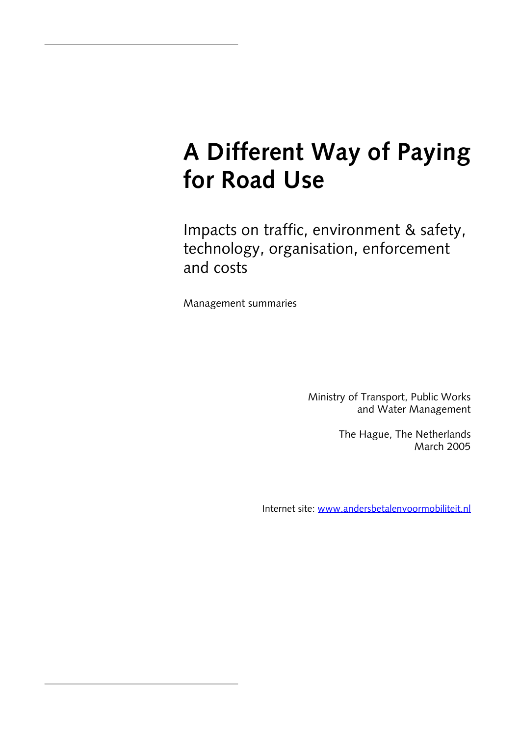# **A Different Way of Paying for Road Use**

Impacts on traffic, environment & safety, technology, organisation, enforcement and costs

Management summaries

Ministry of Transport, Public Works and Water Management

> The Hague, The Netherlands March 2005

Internet site: [www.andersbetalenvoormobiliteit.nl](http://www.andersbetalenvoormobiliteit.nl/)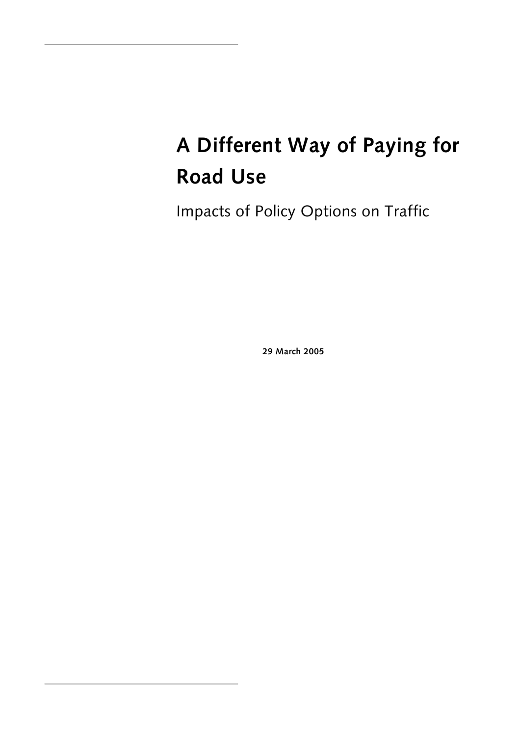# **A Different Way of Paying for Road Use**

Impacts of Policy Options on Traffic

**29 March 2005**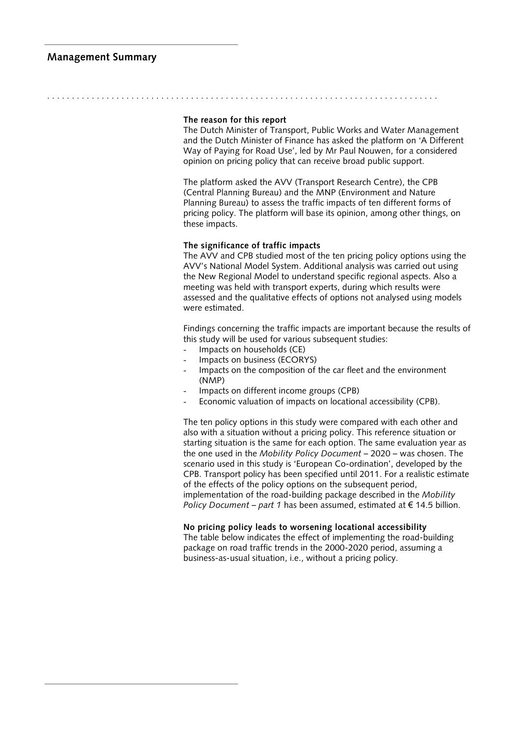#### **Management Summary**

#### **The reason for this report**

. . . . . . . . . . . . . . . . . . . . . . . . . . . . . . . . . . . . . . . . . . . . . . . . . . . . . . . . . . . . . . . . . . . . . . . . . . . . . . .

The Dutch Minister of Transport, Public Works and Water Management and the Dutch Minister of Finance has asked the platform on 'A Different Way of Paying for Road Use', led by Mr Paul Nouwen, for a considered opinion on pricing policy that can receive broad public support.

The platform asked the AVV (Transport Research Centre), the CPB (Central Planning Bureau) and the MNP (Environment and Nature Planning Bureau) to assess the traffic impacts of ten different forms of pricing policy. The platform will base its opinion, among other things, on these impacts.

#### **The significance of traffic impacts**

The AVV and CPB studied most of the ten pricing policy options using the AVV's National Model System. Additional analysis was carried out using the New Regional Model to understand specific regional aspects. Also a meeting was held with transport experts, during which results were assessed and the qualitative effects of options not analysed using models were estimated.

Findings concerning the traffic impacts are important because the results of this study will be used for various subsequent studies:

- Impacts on households (CE)
- Impacts on business (ECORYS)
- Impacts on the composition of the car fleet and the environment (NMP)
- Impacts on different income groups (CPB)
- Economic valuation of impacts on locational accessibility (CPB).

The ten policy options in this study were compared with each other and also with a situation without a pricing policy. This reference situation or starting situation is the same for each option. The same evaluation year as the one used in the *Mobility Policy Document –* 2020 – was chosen. The scenario used in this study is 'European Co-ordination', developed by the CPB. Transport policy has been specified until 2011. For a realistic estimate of the effects of the policy options on the subsequent period, implementation of the road-building package described in the *Mobility Policy Document – part 1* has been assumed, estimated at  $\epsilon$  14.5 billion.

#### **No pricing policy leads to worsening locational accessibility**

The table below indicates the effect of implementing the road-building package on road traffic trends in the 2000-2020 period, assuming a business-as-usual situation, i.e., without a pricing policy.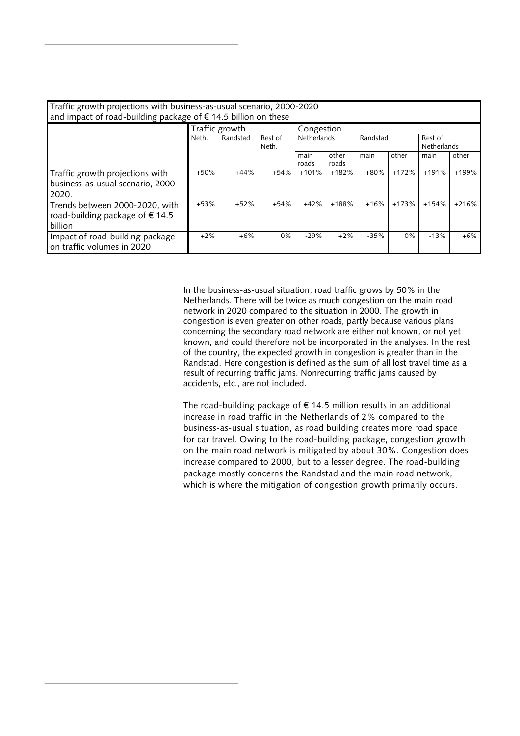| Traffic growth projections with business-as-usual scenario, 2000-2020<br>and impact of road-building package of € 14.5 billion on these |        |                |                  |                    |                |          |         |                               |         |
|-----------------------------------------------------------------------------------------------------------------------------------------|--------|----------------|------------------|--------------------|----------------|----------|---------|-------------------------------|---------|
|                                                                                                                                         |        | Traffic growth |                  | Congestion         |                |          |         |                               |         |
|                                                                                                                                         | Neth.  | Randstad       | Rest of<br>Neth. | <b>Netherlands</b> |                | Randstad |         | Rest of<br><b>Netherlands</b> |         |
|                                                                                                                                         |        |                |                  | main<br>roads      | other<br>roads | main     | other   | main                          | other   |
| Traffic growth projections with<br>business-as-usual scenario, 2000 -<br>2020.                                                          | $+50%$ | $+44%$         | $+54%$           | $+101%$            | $+182%$        | $+80%$   | $+172%$ | $+191%$                       | $+199%$ |
| Trends between 2000-2020, with<br>road-building package of €14.5<br>billion                                                             | $+53%$ | $+52%$         | $+54%$           | $+42%$             | $+188%$        | $+16%$   | $+173%$ | $+154%$                       | $+216%$ |
| Impact of road-building package<br>on traffic volumes in 2020                                                                           | $+2%$  | $+6%$          | $0\%$            | $-29%$             | $+2%$          | $-35%$   | 0%      | $-13%$                        | $+6\%$  |

In the business-as-usual situation, road traffic grows by 50% in the Netherlands. There will be twice as much congestion on the main road network in 2020 compared to the situation in 2000. The growth in congestion is even greater on other roads, partly because various plans concerning the secondary road network are either not known, or not yet known, and could therefore not be incorporated in the analyses. In the rest of the country, the expected growth in congestion is greater than in the Randstad. Here congestion is defined as the sum of all lost travel time as a result of recurring traffic jams. Nonrecurring traffic jams caused by accidents, etc., are not included.

The road-building package of  $\epsilon$  14.5 million results in an additional increase in road traffic in the Netherlands of 2% compared to the business-as-usual situation, as road building creates more road space for car travel. Owing to the road-building package, congestion growth on the main road network is mitigated by about 30%. Congestion does increase compared to 2000, but to a lesser degree. The road-building package mostly concerns the Randstad and the main road network, which is where the mitigation of congestion growth primarily occurs.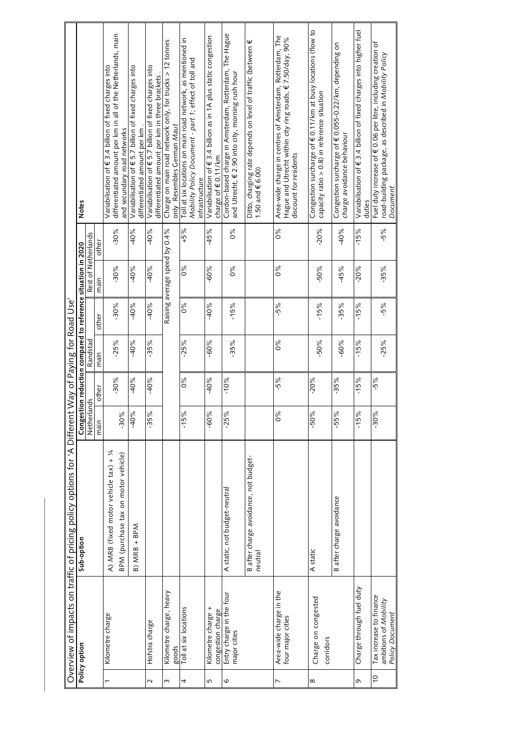|                |                                                                     | Overview of impacts on traffic of pricing policy options for 'A Different |             |        | Way of Paying for Road Use |        |                                                                                     |               |                                                                                                                                                 |
|----------------|---------------------------------------------------------------------|---------------------------------------------------------------------------|-------------|--------|----------------------------|--------|-------------------------------------------------------------------------------------|---------------|-------------------------------------------------------------------------------------------------------------------------------------------------|
|                | Policy option                                                       | Sub-option                                                                | Netherlands |        | Randstad                   |        | Rest of Netherlands<br>Congestion reduction compared to reference situation in 2020 |               | <b>Notes</b>                                                                                                                                    |
|                |                                                                     |                                                                           | main        | other  | main                       | other  | main                                                                                | other         |                                                                                                                                                 |
|                | Kilometre charge                                                    | A) MRB (fixed motor vehicle tax) + 1/4                                    |             | $-30%$ | $-25%$                     | $-30%$ | $-30%$                                                                              | $-30%$        | differentiated amount per km in all of the Netherlands, main<br>Variabilisation of € 3.4 billion of fixed charges into                          |
|                |                                                                     | BPM (purchase tax on motor vehicle)                                       | $-30%$      |        |                            |        |                                                                                     |               | and secundary road networks                                                                                                                     |
|                |                                                                     | $B)$ MRB + BPM                                                            | $-40%$      | $-40%$ | $-40%$                     | $-40%$ | $-40%$                                                                              | $-40%$        | Variabilisation of € 5.7 billion of fixed charges into                                                                                          |
|                |                                                                     |                                                                           |             |        |                            |        |                                                                                     |               | differentiated amount per km                                                                                                                    |
| $\sim$         | Hofstra charge                                                      |                                                                           | $-35%$      | $-40%$ | $-35%$                     | $-40%$ | $-40%$                                                                              | $-40%$        | Variabilisation of € 5.7 billion of fixed charges into<br>differentiated amount per km in three brackets                                        |
|                |                                                                     |                                                                           |             |        |                            |        |                                                                                     |               |                                                                                                                                                 |
| 3              | Kilometre charge, heavy<br>goods                                    |                                                                           |             |        |                            |        | Raising average speed by 0.4%                                                       |               | Charge on main road network only, for trucks > 12 tonnes<br>only Resembles German Maut                                                          |
| 4              | Toll at six locations                                               |                                                                           | $-15%$      | 0%     | $-25%$                     | $0\%$  | $0\%$                                                                               | $+5%$         | Toll at six locations on main road network, as mentioned in                                                                                     |
|                |                                                                     |                                                                           |             |        |                            |        |                                                                                     |               | Mobility Policy Document - part 1; effect of toll and<br>infrastructure                                                                         |
| 5              | Kilometre charge +                                                  |                                                                           | $-60%$      | $-40%$ | $-60%$                     | $-40%$ | $-60%$                                                                              | $-45%$        | Variabilisation of € 3.4 billion as in 1A plus static congestion                                                                                |
|                | congestion charge                                                   |                                                                           |             |        |                            |        |                                                                                     |               | charge of €0.11/km                                                                                                                              |
| $\circ$        | Entry charge in the four<br>major cities                            | A static, not budget-neutral                                              | $-25%$      | $-10%$ | $-35%$                     | $-15%$ | 0%                                                                                  | $\frac{6}{6}$ | Cordon-based charge in Amsterdam, Rotterdam, The Hague<br>and Utrecht, € 2.90 into city, morning rush hour                                      |
|                |                                                                     | B after charge avoidance, not budget-<br>neutral                          |             |        |                            |        |                                                                                     |               | Ditto, charging rate depends on level of traffic (between $\epsilon$<br>1.50 and $\in$ 6.00)                                                    |
| L              | Area-wide charge in the<br>four major cities                        |                                                                           | 0%          | $-5%$  | 88                         | $-5%$  | $\frac{8}{6}$                                                                       | $\delta$      | Area-wide charge in centres of Amsterdam, Rotterdam, The<br>Hague and Utrecht within city ring roads, € 7.50/day, 90%<br>discount for residents |
| $\infty$       | Charge on congested<br>corridors                                    | A static                                                                  | $-50%$      | $-20%$ | $-50%$                     | $-15%$ | $-50\%$                                                                             | $-20%$        | Congestion surcharge of $\epsilon$ 0.11/km at busy locations (flow to<br>capacity ratio $> 0.8$ ) in reference situation                        |
|                |                                                                     | B after charge avoidance                                                  | $-55%$      | $-35%$ | $-60%$                     | $-35%$ | $-45%$                                                                              | $-40%$        | Congestion surcharge of € 0.055-0.22/km, depending on<br>charge avoidance behaviour                                                             |
| O              | Charge through fuel duty                                            |                                                                           | $-15%$      | $-15%$ | $-15%$                     | $-15%$ | $-20%$                                                                              | $-15%$        | Variabilisation of € 3.4 billion of fixed charges into higher fuel<br>duties                                                                    |
| $\overline{0}$ | Tax increase to finance<br>ambitions of Mobility<br>Policy Document |                                                                           | $-30%$      | $-5%$  | $-25%$                     | $-5%$  | $-35%$                                                                              | $-5%$         | Fuel duty increase of €0.06 per litre, including creation of<br>road-building package, as described in Mobility Policy<br>Document              |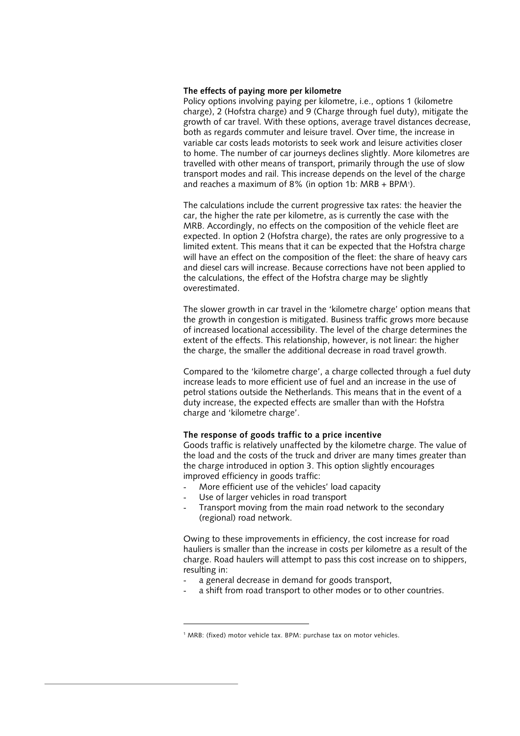#### **The effects of paying more per kilometre**

Policy options involving paying per kilometre, i.e., options 1 (kilometre charge), 2 (Hofstra charge) and 9 (Charge through fuel duty), mitigate the growth of car travel. With these options, average travel distances decrease, both as regards commuter and leisure travel. Over time, the increase in variable car costs leads motorists to seek work and leisure activities closer to home. The number of car journeys declines slightly. More kilometres are travelled with other means of transport, primarily through the use of slow transport modes and rail. This increase depends on the level of the charge and reaches a maximum of 8% (in option [1](#page-5-0)b:  $MRB + BPM$ <sup>1</sup>).

The calculations include the current progressive tax rates: the heavier the car, the higher the rate per kilometre, as is currently the case with the MRB. Accordingly, no effects on the composition of the vehicle fleet are expected. In option 2 (Hofstra charge), the rates are only progressive to a limited extent. This means that it can be expected that the Hofstra charge will have an effect on the composition of the fleet: the share of heavy cars and diesel cars will increase. Because corrections have not been applied to the calculations, the effect of the Hofstra charge may be slightly overestimated.

The slower growth in car travel in the 'kilometre charge' option means that the growth in congestion is mitigated. Business traffic grows more because of increased locational accessibility. The level of the charge determines the extent of the effects. This relationship, however, is not linear: the higher the charge, the smaller the additional decrease in road travel growth.

Compared to the 'kilometre charge', a charge collected through a fuel duty increase leads to more efficient use of fuel and an increase in the use of petrol stations outside the Netherlands. This means that in the event of a duty increase, the expected effects are smaller than with the Hofstra charge and 'kilometre charge'.

#### **The response of goods traffic to a price incentive**

Goods traffic is relatively unaffected by the kilometre charge. The value of the load and the costs of the truck and driver are many times greater than the charge introduced in option 3. This option slightly encourages improved efficiency in goods traffic:

- More efficient use of the vehicles' load capacity
- Use of larger vehicles in road transport

-

Transport moving from the main road network to the secondary (regional) road network.

Owing to these improvements in efficiency, the cost increase for road hauliers is smaller than the increase in costs per kilometre as a result of the charge. Road haulers will attempt to pass this cost increase on to shippers, resulting in:

- a general decrease in demand for goods transport,
- a shift from road transport to other modes or to other countries.

<span id="page-5-0"></span><sup>&</sup>lt;sup>1</sup> MRB: (fixed) motor vehicle tax. BPM: purchase tax on motor vehicles.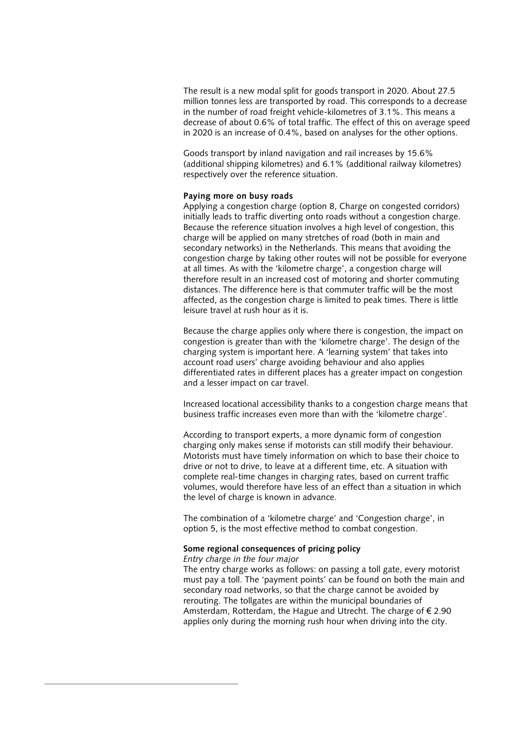The result is a new modal split for goods transport in 2020. About 27.5 million tonnes less are transported by road. This corresponds to a decrease in the number of road freight vehicle-kilometres of 3.1%. This means a decrease of about 0.6% of total traffic. The effect of this on average speed in 2020 is an increase of 0.4%, based on analyses for the other options.

Goods transport by inland navigation and rail increases by 15.6% (additional shipping kilometres) and 6.1% (additional railway kilometres) respectively over the reference situation.

#### **Paying more on busy roads**

Applying a congestion charge (option 8, Charge on congested corridors) initially leads to traffic diverting onto roads without a congestion charge. Because the reference situation involves a high level of congestion, this charge will be applied on many stretches of road (both in main and secondary networks) in the Netherlands. This means that avoiding the congestion charge by taking other routes will not be possible for everyone at all times. As with the 'kilometre charge', a congestion charge will therefore result in an increased cost of motoring and shorter commuting distances. The difference here is that commuter traffic will be the most affected, as the congestion charge is limited to peak times. There is little leisure travel at rush hour as it is.

Because the charge applies only where there is congestion, the impact on congestion is greater than with the 'kilometre charge'. The design of the charging system is important here. A 'learning system' that takes into account road users' charge avoiding behaviour and also applies differentiated rates in different places has a greater impact on congestion and a lesser impact on car travel.

Increased locational accessibility thanks to a congestion charge means that business traffic increases even more than with the 'kilometre charge'.

According to transport experts, a more dynamic form of congestion charging only makes sense if motorists can still modify their behaviour. Motorists must have timely information on which to base their choice to drive or not to drive, to leave at a different time, etc. A situation with complete real-time changes in charging rates, based on current traffic volumes, would therefore have less of an effect than a situation in which the level of charge is known in advance.

The combination of a 'kilometre charge' and 'Congestion charge', in option 5, is the most effective method to combat congestion.

#### **Some regional consequences of pricing policy**

#### *Entry charge in the four major*

The entry charge works as follows: on passing a toll gate, every motorist must pay a toll. The 'payment points' can be found on both the main and secondary road networks, so that the charge cannot be avoided by rerouting. The tollgates are within the municipal boundaries of Amsterdam, Rotterdam, the Hague and Utrecht. The charge of € 2.90 applies only during the morning rush hour when driving into the city.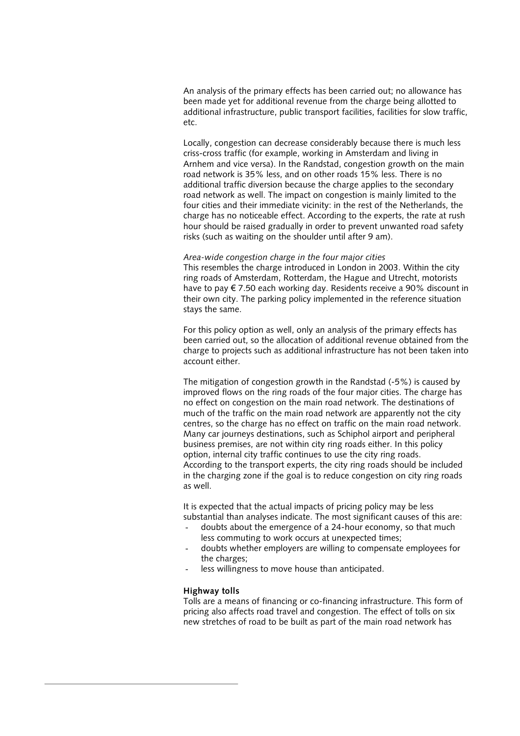An analysis of the primary effects has been carried out; no allowance has been made yet for additional revenue from the charge being allotted to additional infrastructure, public transport facilities, facilities for slow traffic, etc.

Locally, congestion can decrease considerably because there is much less criss-cross traffic (for example, working in Amsterdam and living in Arnhem and vice versa). In the Randstad, congestion growth on the main road network is 35% less, and on other roads 15% less. There is no additional traffic diversion because the charge applies to the secondary road network as well. The impact on congestion is mainly limited to the four cities and their immediate vicinity: in the rest of the Netherlands, the charge has no noticeable effect. According to the experts, the rate at rush hour should be raised gradually in order to prevent unwanted road safety risks (such as waiting on the shoulder until after 9 am).

#### *Area-wide congestion charge in the four major cities*

This resembles the charge introduced in London in 2003. Within the city ring roads of Amsterdam, Rotterdam, the Hague and Utrecht, motorists have to pay € 7.50 each working day. Residents receive a 90% discount in their own city. The parking policy implemented in the reference situation stays the same.

For this policy option as well, only an analysis of the primary effects has been carried out, so the allocation of additional revenue obtained from the charge to projects such as additional infrastructure has not been taken into account either.

The mitigation of congestion growth in the Randstad (-5%) is caused by improved flows on the ring roads of the four major cities. The charge has no effect on congestion on the main road network. The destinations of much of the traffic on the main road network are apparently not the city centres, so the charge has no effect on traffic on the main road network. Many car journeys destinations, such as Schiphol airport and peripheral business premises, are not within city ring roads either. In this policy option, internal city traffic continues to use the city ring roads. According to the transport experts, the city ring roads should be included in the charging zone if the goal is to reduce congestion on city ring roads as well.

It is expected that the actual impacts of pricing policy may be less substantial than analyses indicate. The most significant causes of this are:

- doubts about the emergence of a 24-hour economy, so that much less commuting to work occurs at unexpected times;
- doubts whether employers are willing to compensate employees for the charges;
- less willingness to move house than anticipated.

#### **Highway tolls**

Tolls are a means of financing or co-financing infrastructure. This form of pricing also affects road travel and congestion. The effect of tolls on six new stretches of road to be built as part of the main road network has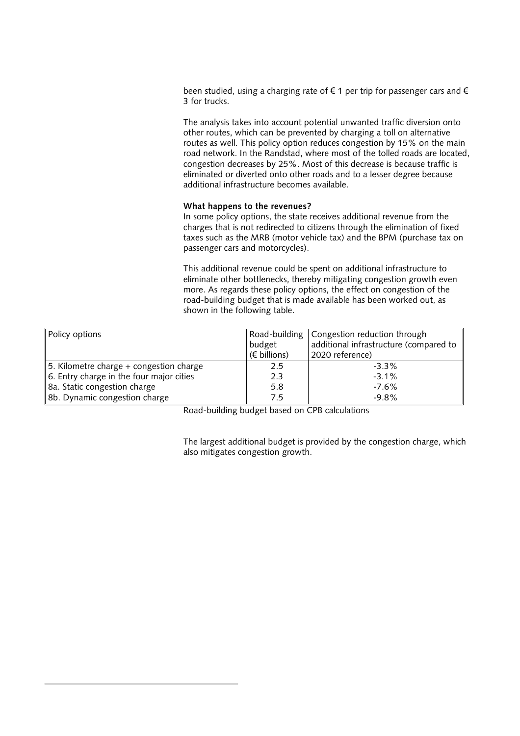been studied, using a charging rate of € 1 per trip for passenger cars and € 3 for trucks.

The analysis takes into account potential unwanted traffic diversion onto other routes, which can be prevented by charging a toll on alternative routes as well. This policy option reduces congestion by 15% on the main road network. In the Randstad, where most of the tolled roads are located, congestion decreases by 25%. Most of this decrease is because traffic is eliminated or diverted onto other roads and to a lesser degree because additional infrastructure becomes available.

#### **What happens to the revenues?**

In some policy options, the state receives additional revenue from the charges that is not redirected to citizens through the elimination of fixed taxes such as the MRB (motor vehicle tax) and the BPM (purchase tax on passenger cars and motorcycles).

This additional revenue could be spent on additional infrastructure to eliminate other bottlenecks, thereby mitigating congestion growth even more. As regards these policy options, the effect on congestion of the road-building budget that is made available has been worked out, as shown in the following table.

| Policy options                           | budget<br>$(\epsilon$ billions) | Road-building   Congestion reduction through<br>additional infrastructure (compared to<br>2020 reference) |
|------------------------------------------|---------------------------------|-----------------------------------------------------------------------------------------------------------|
| 5. Kilometre charge + congestion charge  | 2.5                             | $-3.3\%$                                                                                                  |
| 6. Entry charge in the four major cities | 2.3                             | $-3.1%$                                                                                                   |
| 8a. Static congestion charge             | 5.8                             | $-7.6\%$                                                                                                  |
| 8b. Dynamic congestion charge            | 7.5                             | $-9.8%$                                                                                                   |

Road-building budget based on CPB calculations

The largest additional budget is provided by the congestion charge, which also mitigates congestion growth.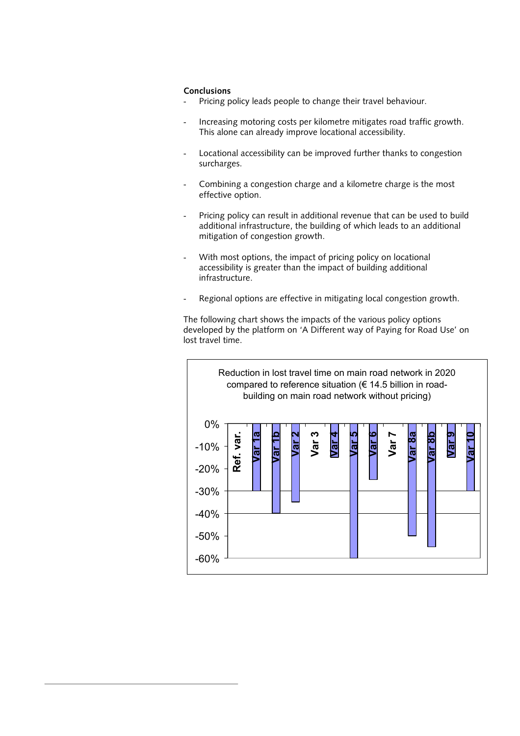#### **Conclusions**

- Pricing policy leads people to change their travel behaviour.
- Increasing motoring costs per kilometre mitigates road traffic growth. This alone can already improve locational accessibility.
- Locational accessibility can be improved further thanks to congestion surcharges.
- Combining a congestion charge and a kilometre charge is the most effective option.
- Pricing policy can result in additional revenue that can be used to build additional infrastructure, the building of which leads to an additional mitigation of congestion growth.
- With most options, the impact of pricing policy on locational accessibility is greater than the impact of building additional infrastructure.
- Regional options are effective in mitigating local congestion growth.

The following chart shows the impacts of the various policy options developed by the platform on 'A Different way of Paying for Road Use' on lost travel time.

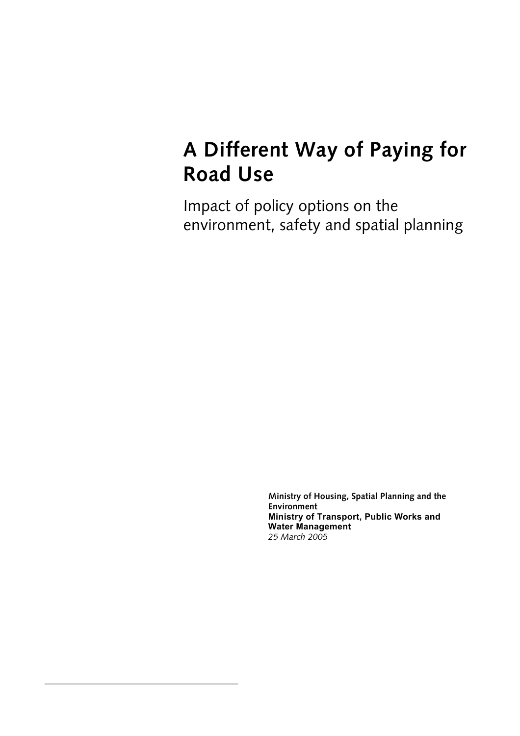## **A Different Way of Paying for Road Use**

Impact of policy options on the environment, safety and spatial planning

> **Ministry of Housing, Spatial Planning and the Environment Ministry of Transport, Public Works and Water Management**  *25 March 2005*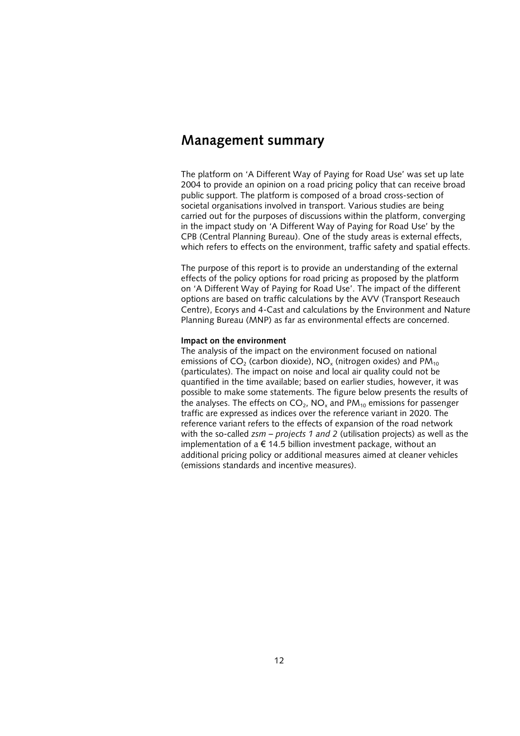### **Management summary**

The platform on 'A Different Way of Paying for Road Use' was set up late 2004 to provide an opinion on a road pricing policy that can receive broad public support. The platform is composed of a broad cross-section of societal organisations involved in transport. Various studies are being carried out for the purposes of discussions within the platform, converging in the impact study on 'A Different Way of Paying for Road Use' by the CPB (Central Planning Bureau). One of the study areas is external effects, which refers to effects on the environment, traffic safety and spatial effects.

The purpose of this report is to provide an understanding of the external effects of the policy options for road pricing as proposed by the platform on 'A Different Way of Paying for Road Use'. The impact of the different options are based on traffic calculations by the AVV (Transport Reseauch Centre), Ecorys and 4-Cast and calculations by the Environment and Nature Planning Bureau (MNP) as far as environmental effects are concerned.

#### **Impact on the environment**

The analysis of the impact on the environment focused on national emissions of  $CO<sub>2</sub>$  (carbon dioxide), NO<sub>x</sub> (nitrogen oxides) and PM<sub>10</sub> (particulates). The impact on noise and local air quality could not be quantified in the time available; based on earlier studies, however, it was possible to make some statements. The figure below presents the results of the analyses. The effects on  $CO<sub>2</sub>$ , NO<sub>x</sub> and PM<sub>10</sub> emissions for passenger traffic are expressed as indices over the reference variant in 2020. The reference variant refers to the effects of expansion of the road network with the so-called *zsm – projects 1 and 2* (utilisation projects) as well as the implementation of a  $\epsilon$  14.5 billion investment package, without an additional pricing policy or additional measures aimed at cleaner vehicles (emissions standards and incentive measures).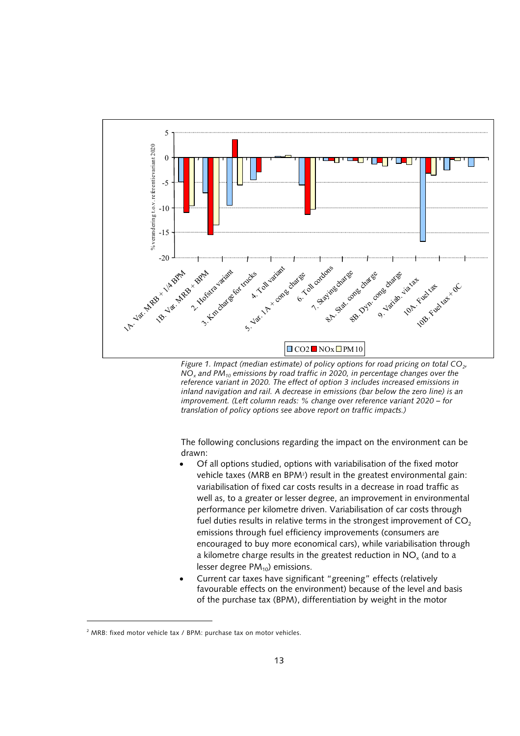

*Figure 1. Impact (median estimate) of policy options for road pricing on total CO<sub>2</sub>, NOx and PM10 emissions by road traffic in 2020, in percentage changes over the reference variant in 2020. The effect of option 3 includes increased emissions in inland navigation and rail. A decrease in emissions (bar below the zero line) is an improvement. (Left column reads: % change over reference variant 2020 – for translation of policy options see above report on traffic impacts.)*

The following conclusions regarding the impact on the environment can be drawn:

- Of all options studied, options with variabilisation of the fixed motor vehicle taxes (MRB en BPM<sup>2</sup>) result in the greatest environmental gain: variabilisation of fixed car costs results in a decrease in road traffic as well as, to a greater or lesser degree, an improvement in environmental performance per kilometre driven. Variabilisation of car costs through fuel duties results in relative terms in the strongest improvement of  $CO<sub>2</sub>$ emissions through fuel efficiency improvements (consumers are encouraged to buy more economical cars), while variabilisation through a kilometre charge results in the greatest reduction in  $NO<sub>x</sub>$  (and to a lesser degree  $PM_{10}$ ) emissions.
- Current car taxes have significant "greening" effects (relatively favourable effects on the environment) because of the level and basis of the purchase tax (BPM), differentiation by weight in the motor

-

<span id="page-12-0"></span><sup>&</sup>lt;sup>2</sup> MRB: fixed motor vehicle tax / BPM: purchase tax on motor vehicles.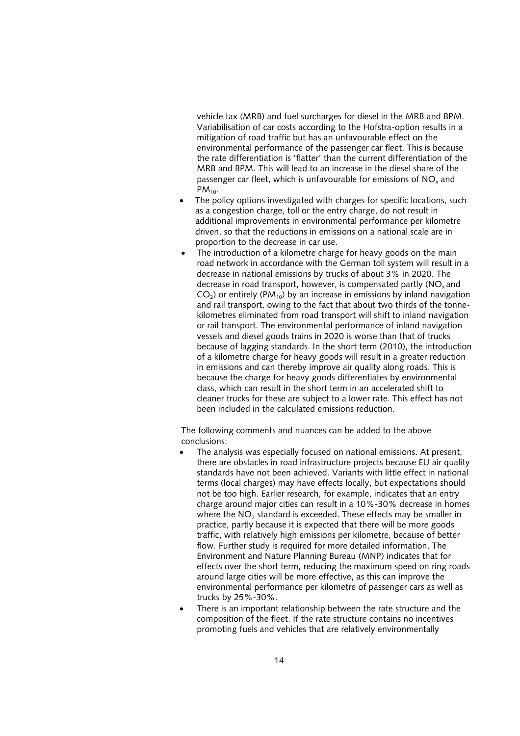vehicle tax (MRB) and fuel surcharges for diesel in the MRB and BPM. Variabilisation of car costs according to the Hofstra-option results in a mitigation of road traffic but has an unfavourable effect on the environmental performance of the passenger car fleet. This is because the rate differentiation is 'flatter' than the current differentiation of the MRB and BPM. This will lead to an increase in the diesel share of the passenger car fleet, which is unfavourable for emissions of NO<sub>y</sub> and  $PM_{10}$ .

- The policy options investigated with charges for specific locations, such as a congestion charge, toll or the entry charge, do not result in additional improvements in environmental performance per kilometre driven, so that the reductions in emissions on a national scale are in proportion to the decrease in car use.
- The introduction of a kilometre charge for heavy goods on the main road network in accordance with the German toll system will result in a decrease in national emissions by trucks of about 3% in 2020. The decrease in road transport, however, is compensated partly (NO<sub>v</sub> and  $CO<sub>2</sub>$ ) or entirely (PM<sub>10</sub>) by an increase in emissions by inland navigation and rail transport, owing to the fact that about two thirds of the tonnekilometres eliminated from road transport will shift to inland navigation or rail transport. The environmental performance of inland navigation vessels and diesel goods trains in 2020 is worse than that of trucks because of lagging standards. In the short term (2010), the introduction of a kilometre charge for heavy goods will result in a greater reduction in emissions and can thereby improve air quality along roads. This is because the charge for heavy goods differentiates by environmental class, which can result in the short term in an accelerated shift to cleaner trucks for these are subject to a lower rate. This effect has not been included in the calculated emissions reduction.

The following comments and nuances can be added to the above conclusions:

- The analysis was especially focused on national emissions. At present, there are obstacles in road infrastructure projects because EU air quality standards have not been achieved. Variants with little effect in national terms (local charges) may have effects locally, but expectations should not be too high. Earlier research, for example, indicates that an entry charge around major cities can result in a 10%-30% decrease in homes where the NO<sub>2</sub> standard is exceeded. These effects may be smaller in practice, partly because it is expected that there will be more goods traffic, with relatively high emissions per kilometre, because of better flow. Further study is required for more detailed information. The Environment and Nature Planning Bureau (MNP) indicates that for effects over the short term, reducing the maximum speed on ring roads around large cities will be more effective, as this can improve the environmental performance per kilometre of passenger cars as well as trucks by 25%-30%.
- There is an important relationship between the rate structure and the composition of the fleet. If the rate structure contains no incentives promoting fuels and vehicles that are relatively environmentally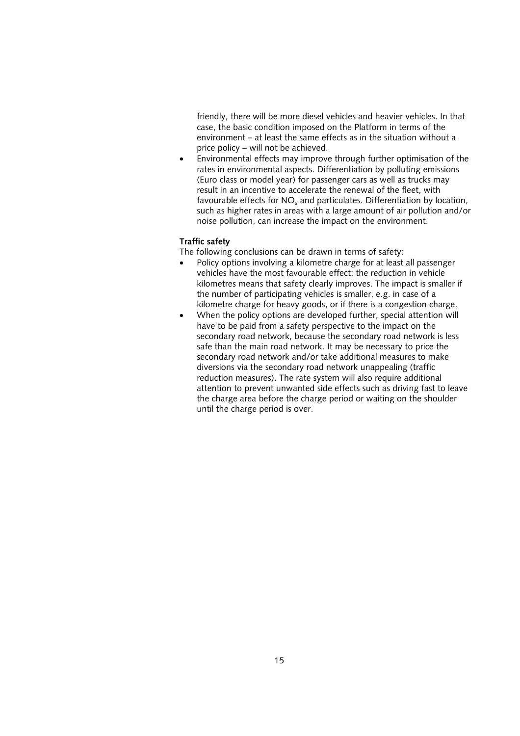friendly, there will be more diesel vehicles and heavier vehicles. In that case, the basic condition imposed on the Platform in terms of the environment – at least the same effects as in the situation without a price policy – will not be achieved.

• Environmental effects may improve through further optimisation of the rates in environmental aspects. Differentiation by polluting emissions (Euro class or model year) for passenger cars as well as trucks may result in an incentive to accelerate the renewal of the fleet, with favourable effects for  $NO<sub>x</sub>$  and particulates. Differentiation by location, such as higher rates in areas with a large amount of air pollution and/or noise pollution, can increase the impact on the environment.

#### **Traffic safety**

The following conclusions can be drawn in terms of safety:

- Policy options involving a kilometre charge for at least all passenger vehicles have the most favourable effect: the reduction in vehicle kilometres means that safety clearly improves. The impact is smaller if the number of participating vehicles is smaller, e.g. in case of a kilometre charge for heavy goods, or if there is a congestion charge.
- When the policy options are developed further, special attention will have to be paid from a safety perspective to the impact on the secondary road network, because the secondary road network is less safe than the main road network. It may be necessary to price the secondary road network and/or take additional measures to make diversions via the secondary road network unappealing (traffic reduction measures). The rate system will also require additional attention to prevent unwanted side effects such as driving fast to leave the charge area before the charge period or waiting on the shoulder until the charge period is over.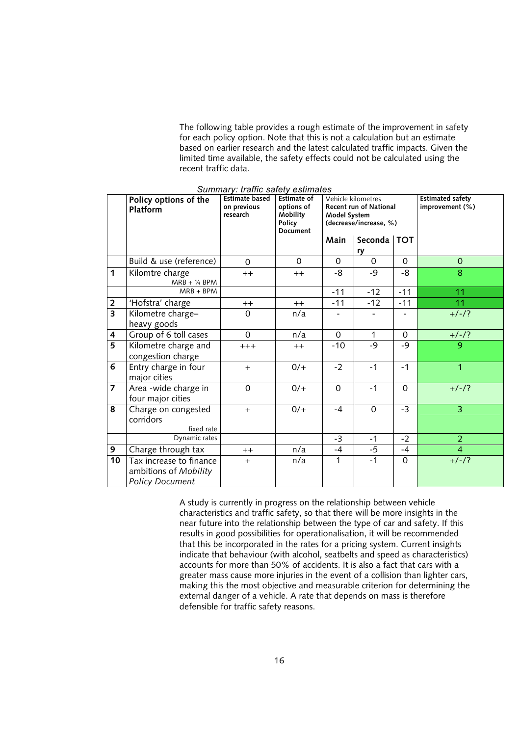The following table provides a rough estimate of the improvement in safety for each policy option. Note that this is not a calculation but an estimate based on earlier research and the latest calculated traffic impacts. Given the limited time available, the safety effects could not be calculated using the recent traffic data.

|                         | Policy options of the<br>Platform                | <b>Estimate based</b><br>on previous<br>research | <b>Estimate of</b><br>options of<br>Mobility<br>Policy<br>Document | Vehicle kilometres<br><b>Recent run of National</b><br>Model System<br>(decrease/increase, %) |                | <b>Estimated safety</b><br>improvement (%) |                |
|-------------------------|--------------------------------------------------|--------------------------------------------------|--------------------------------------------------------------------|-----------------------------------------------------------------------------------------------|----------------|--------------------------------------------|----------------|
|                         |                                                  |                                                  |                                                                    | Main                                                                                          | Seconda   TOT  |                                            |                |
|                         |                                                  |                                                  |                                                                    |                                                                                               | ry             |                                            |                |
|                         | Build & use (reference)                          | $\Omega$                                         | $\Omega$                                                           | $\Omega$                                                                                      | $\Omega$       | $\Omega$                                   | $\Omega$       |
| 1                       | Kilomtre charge<br>$MRB + 1/4$ BPM               | $++$                                             | $++$                                                               | -8                                                                                            | $-9$           | -8                                         | 8              |
|                         | $MRB + BPM$                                      |                                                  |                                                                    | $-11$                                                                                         | $-12$          | $-11$                                      | 11             |
| $\mathbf 2$             | 'Hofstra' charge                                 | $++$                                             | $^{++}$                                                            | $-11$                                                                                         | $-12$          | $-11$                                      | 11             |
| $\overline{\mathbf{3}}$ | Kilometre charge-                                | $\mathbf 0$                                      | n/a                                                                |                                                                                               |                | -                                          | $+/-/?$        |
|                         | heavy goods                                      |                                                  |                                                                    |                                                                                               |                |                                            |                |
| 4                       | Group of 6 toll cases                            | $\Omega$                                         | n/a                                                                | $\mathbf{0}$                                                                                  | 1              | $\Omega$                                   | $+/-/?$        |
| $\overline{5}$          | Kilometre charge and                             | $+++$                                            | $++$                                                               | $-10$                                                                                         | $-9$           | -9                                         | 9              |
|                         | congestion charge                                |                                                  |                                                                    |                                                                                               |                |                                            |                |
| 6                       | Entry charge in four<br>major cities             | $+$                                              | $0/+$                                                              | $-2$                                                                                          | $-1$           | $-1$                                       | 1              |
| 7                       | Area -wide charge in                             | $\mathbf 0$                                      | $0/+$                                                              | $\mathbf 0$                                                                                   | $-1$           | $\overline{0}$                             | $+/-/?$        |
|                         | four major cities                                |                                                  |                                                                    |                                                                                               |                |                                            |                |
| 8                       | Charge on congested                              | $+$                                              | $0/+$                                                              | $-4$                                                                                          | $\overline{0}$ | $-3$                                       | $\overline{3}$ |
|                         | corridors                                        |                                                  |                                                                    |                                                                                               |                |                                            |                |
|                         | fixed rate<br>Dynamic rates                      |                                                  |                                                                    |                                                                                               |                |                                            |                |
|                         |                                                  |                                                  |                                                                    | $-3$                                                                                          | $-1$           | $-2$                                       | $\overline{2}$ |
| 9                       | Charge through tax                               | $^{++}$                                          | n/a                                                                | $-4$                                                                                          | $-5$           | $-4$                                       | $\overline{4}$ |
| $\overline{10}$         | Tax increase to finance<br>ambitions of Mobility | $+$                                              | n/a                                                                | 1                                                                                             | $-1$           | $\mathbf{O}$                               | $+/-/?$        |
|                         | <b>Policy Document</b>                           |                                                  |                                                                    |                                                                                               |                |                                            |                |

*Summary: traffic safety estimates*

A study is currently in progress on the relationship between vehicle characteristics and traffic safety, so that there will be more insights in the near future into the relationship between the type of car and safety. If this results in good possibilities for operationalisation, it will be recommended that this be incorporated in the rates for a pricing system. Current insights indicate that behaviour (with alcohol, seatbelts and speed as characteristics) accounts for more than 50% of accidents. It is also a fact that cars with a greater mass cause more injuries in the event of a collision than lighter cars, making this the most objective and measurable criterion for determining the external danger of a vehicle. A rate that depends on mass is therefore defensible for traffic safety reasons.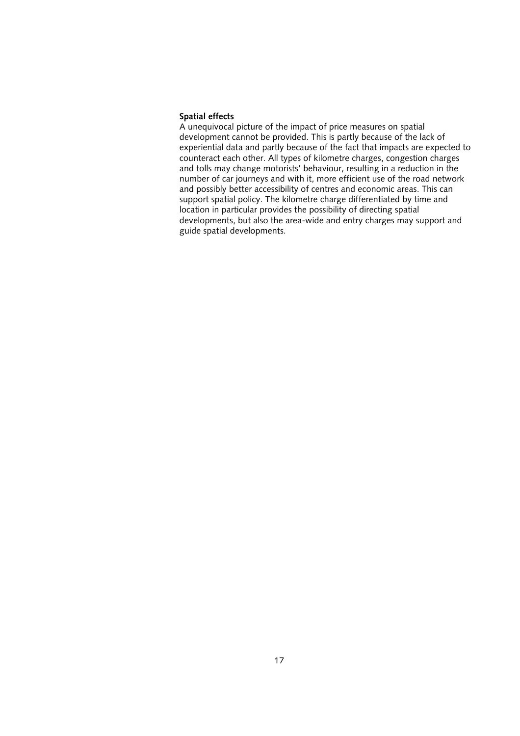#### **Spatial effects**

A unequivocal picture of the impact of price measures on spatial development cannot be provided. This is partly because of the lack of experiential data and partly because of the fact that impacts are expected to counteract each other. All types of kilometre charges, congestion charges and tolls may change motorists' behaviour, resulting in a reduction in the number of car journeys and with it, more efficient use of the road network and possibly better accessibility of centres and economic areas. This can support spatial policy. The kilometre charge differentiated by time and location in particular provides the possibility of directing spatial developments, but also the area-wide and entry charges may support and guide spatial developments.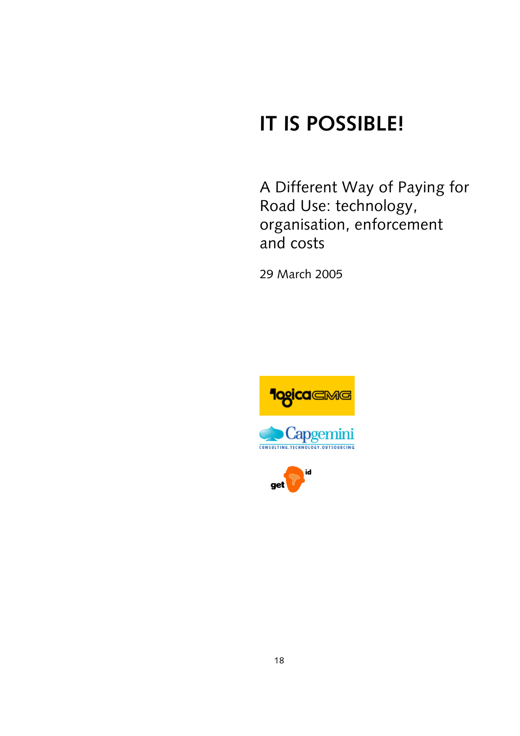## **IT IS POSSIBLE!**

A Different Way of Paying for Road Use: technology, organisation, enforcement and costs

29 March 2005





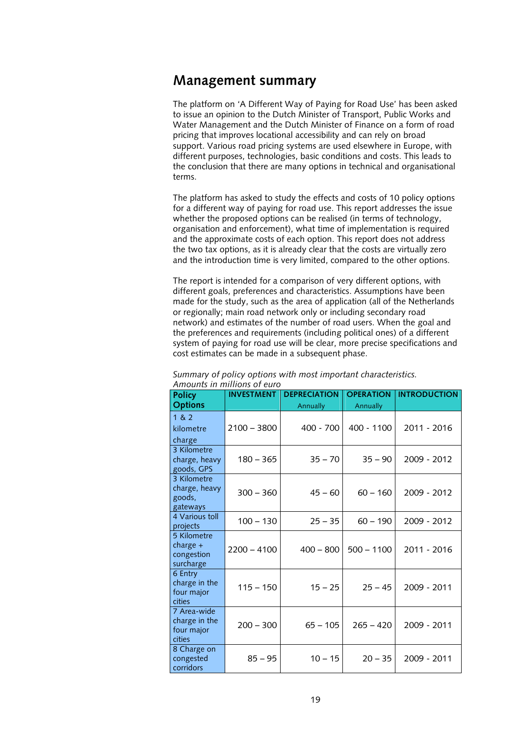### **Management summary**

The platform on 'A Different Way of Paying for Road Use' has been asked to issue an opinion to the Dutch Minister of Transport, Public Works and Water Management and the Dutch Minister of Finance on a form of road pricing that improves locational accessibility and can rely on broad support. Various road pricing systems are used elsewhere in Europe, with different purposes, technologies, basic conditions and costs. This leads to the conclusion that there are many options in technical and organisational terms.

The platform has asked to study the effects and costs of 10 policy options for a different way of paying for road use. This report addresses the issue whether the proposed options can be realised (in terms of technology, organisation and enforcement), what time of implementation is required and the approximate costs of each option. This report does not address the two tax options, as it is already clear that the costs are virtually zero and the introduction time is very limited, compared to the other options.

The report is intended for a comparison of very different options, with different goals, preferences and characteristics. Assumptions have been made for the study, such as the area of application (all of the Netherlands or regionally; main road network only or including secondary road network) and estimates of the number of road users. When the goal and the preferences and requirements (including political ones) of a different system of paying for road use will be clear, more precise specifications and cost estimates can be made in a subsequent phase.

| <b>Policy</b>                                        | <b>INVESTMENT</b> | <b>DEPRECIATION</b> | <b>OPERATION</b> | <b>INTRODUCTION</b> |
|------------------------------------------------------|-------------------|---------------------|------------------|---------------------|
| <b>Options</b>                                       |                   | Annually            | Annually         |                     |
| 1 & 2<br>kilometre<br>charge                         | $2100 - 3800$     | $400 - 700$         | $400 - 1100$     | 2011 - 2016         |
| 3 Kilometre<br>charge, heavy<br>goods, GPS           | $180 - 365$       | $35 - 70$           | $35 - 90$        | 2009 - 2012         |
| 3 Kilometre<br>charge, heavy<br>goods.<br>gateways   | $300 - 360$       | $45 - 60$           | $60 - 160$       | 2009 - 2012         |
| 4 Various toll<br>projects                           | $100 - 130$       | $25 - 35$           | $60 - 190$       | 2009 - 2012         |
| 5 Kilometre<br>charge $+$<br>congestion<br>surcharge | $2200 - 4100$     | $400 - 800$         | $500 - 1100$     | 2011 - 2016         |
| 6 Entry<br>charge in the<br>four major<br>cities     | $115 - 150$       | $15 - 25$           | $25 - 45$        | 2009 - 2011         |
| 7 Area-wide<br>charge in the<br>four major<br>cities | $200 - 300$       | $65 - 105$          | $265 - 420$      | 2009 - 2011         |
| 8 Charge on<br>congested<br>corridors                | $85 - 95$         | $10 - 15$           | $20 - 35$        | 2009 - 2011         |

*Summary of policy options with most important characteristics. Amounts in millions of euro*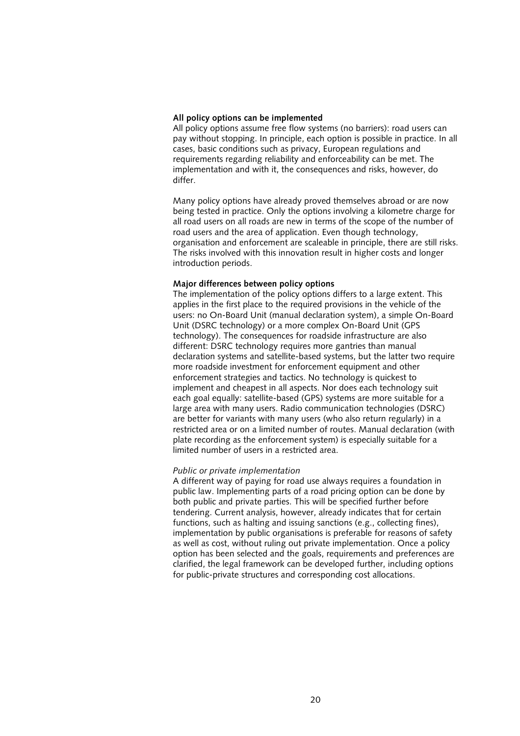#### *All policy options can be implemented*

All policy options assume free flow systems (no barriers): road users can pay without stopping. In principle, each option is possible in practice. In all cases, basic conditions such as privacy, European regulations and requirements regarding reliability and enforceability can be met. The implementation and with it, the consequences and risks, however, do differ.

Many policy options have already proved themselves abroad or are now being tested in practice. Only the options involving a kilometre charge for all road users on all roads are new in terms of the scope of the number of road users and the area of application. Even though technology, organisation and enforcement are scaleable in principle, there are still risks. The risks involved with this innovation result in higher costs and longer introduction periods.

#### *Major differences between policy options*

The implementation of the policy options differs to a large extent. This applies in the first place to the required provisions in the vehicle of the users: no On-Board Unit (manual declaration system), a simple On-Board Unit (DSRC technology) or a more complex On-Board Unit (GPS technology). The consequences for roadside infrastructure are also different: DSRC technology requires more gantries than manual declaration systems and satellite-based systems, but the latter two require more roadside investment for enforcement equipment and other enforcement strategies and tactics. No technology is quickest to implement and cheapest in all aspects. Nor does each technology suit each goal equally: satellite-based (GPS) systems are more suitable for a large area with many users. Radio communication technologies (DSRC) are better for variants with many users (who also return regularly) in a restricted area or on a limited number of routes. Manual declaration (with plate recording as the enforcement system) is especially suitable for a limited number of users in a restricted area.

#### *Public or private implementation*

A different way of paying for road use always requires a foundation in public law. Implementing parts of a road pricing option can be done by both public and private parties. This will be specified further before tendering. Current analysis, however, already indicates that for certain functions, such as halting and issuing sanctions (e.g., collecting fines), implementation by public organisations is preferable for reasons of safety as well as cost, without ruling out private implementation. Once a policy option has been selected and the goals, requirements and preferences are clarified, the legal framework can be developed further, including options for public-private structures and corresponding cost allocations.